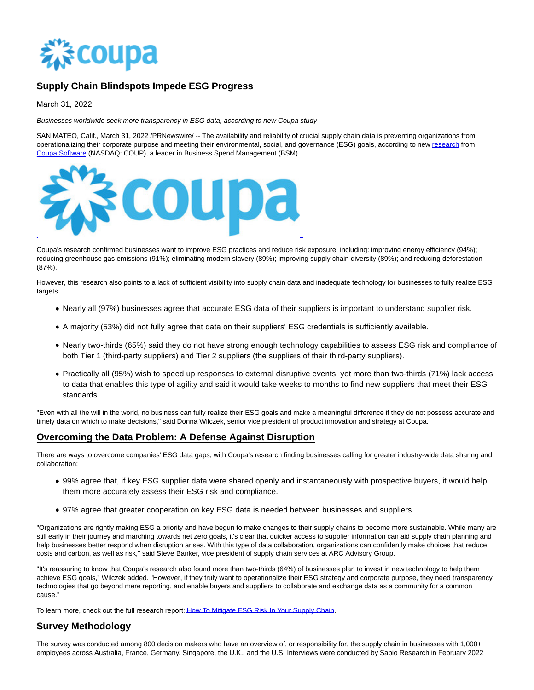

## **Supply Chain Blindspots Impede ESG Progress**

March 31, 2022

Businesses worldwide seek more transparency in ESG data, according to new Coupa study

SAN MATEO, Calif., March 31, 2022 /PRNewswire/ -- The availability and reliability of crucial supply chain data is preventing organizations from operationalizing their corporate purpose and meeting their environmental, social, and governance (ESG) goals, according to new [research f](https://c212.net/c/link/?t=0&l=en&o=3489931-1&h=4281754485&u=https%3A%2F%2Fget.coupa.com%2F22_ESG-Risk-Supply-Chains_Report-Request-Eng.html&a=research)rom [Coupa Software \(](https://c212.net/c/link/?t=0&l=en&o=3489931-1&h=3489044212&u=http%3A%2F%2Fcoupa.com%2F&a=Coupa+Software)NASDAQ: COUP), a leader in Business Spend Management (BSM).



Coupa's research confirmed businesses want to improve ESG practices and reduce risk exposure, including: improving energy efficiency (94%); reducing greenhouse gas emissions (91%); eliminating modern slavery (89%); improving supply chain diversity (89%); and reducing deforestation (87%).

However, this research also points to a lack of sufficient visibility into supply chain data and inadequate technology for businesses to fully realize ESG targets.

- Nearly all (97%) businesses agree that accurate ESG data of their suppliers is important to understand supplier risk.
- A majority (53%) did not fully agree that data on their suppliers' ESG credentials is sufficiently available.
- Nearly two-thirds (65%) said they do not have strong enough technology capabilities to assess ESG risk and compliance of both Tier 1 (third-party suppliers) and Tier 2 suppliers (the suppliers of their third-party suppliers).
- Practically all (95%) wish to speed up responses to external disruptive events, yet more than two-thirds (71%) lack access to data that enables this type of agility and said it would take weeks to months to find new suppliers that meet their ESG standards.

"Even with all the will in the world, no business can fully realize their ESG goals and make a meaningful difference if they do not possess accurate and timely data on which to make decisions," said Donna Wilczek, senior vice president of product innovation and strategy at Coupa.

## **Overcoming the Data Problem: A Defense Against Disruption**

There are ways to overcome companies' ESG data gaps, with Coupa's research finding businesses calling for greater industry-wide data sharing and collaboration:

- 99% agree that, if key ESG supplier data were shared openly and instantaneously with prospective buyers, it would help them more accurately assess their ESG risk and compliance.
- 97% agree that greater cooperation on key ESG data is needed between businesses and suppliers.

"Organizations are rightly making ESG a priority and have begun to make changes to their supply chains to become more sustainable. While many are still early in their journey and marching towards net zero goals, it's clear that quicker access to supplier information can aid supply chain planning and help businesses better respond when disruption arises. With this type of data collaboration, organizations can confidently make choices that reduce costs and carbon, as well as risk," said Steve Banker, vice president of supply chain services at ARC Advisory Group.

"It's reassuring to know that Coupa's research also found more than two-thirds (64%) of businesses plan to invest in new technology to help them achieve ESG goals," Wilczek added. "However, if they truly want to operationalize their ESG strategy and corporate purpose, they need transparency technologies that go beyond mere reporting, and enable buyers and suppliers to collaborate and exchange data as a community for a common cause."

To learn more, check out the full research report[: How To Mitigate ESG Risk In Your Supply Chain.](https://c212.net/c/link/?t=0&l=en&o=3489931-1&h=2544265875&u=https%3A%2F%2Fget.coupa.com%2F22_ESG-Risk-Supply-Chains_Report-Request-Eng.html&a=How+To+Mitigate+ESG+Risk+In+Your+Supply+Chain)

## **Survey Methodology**

The survey was conducted among 800 decision makers who have an overview of, or responsibility for, the supply chain in businesses with 1,000+ employees across Australia, France, Germany, Singapore, the U.K., and the U.S. Interviews were conducted by Sapio Research in February 2022